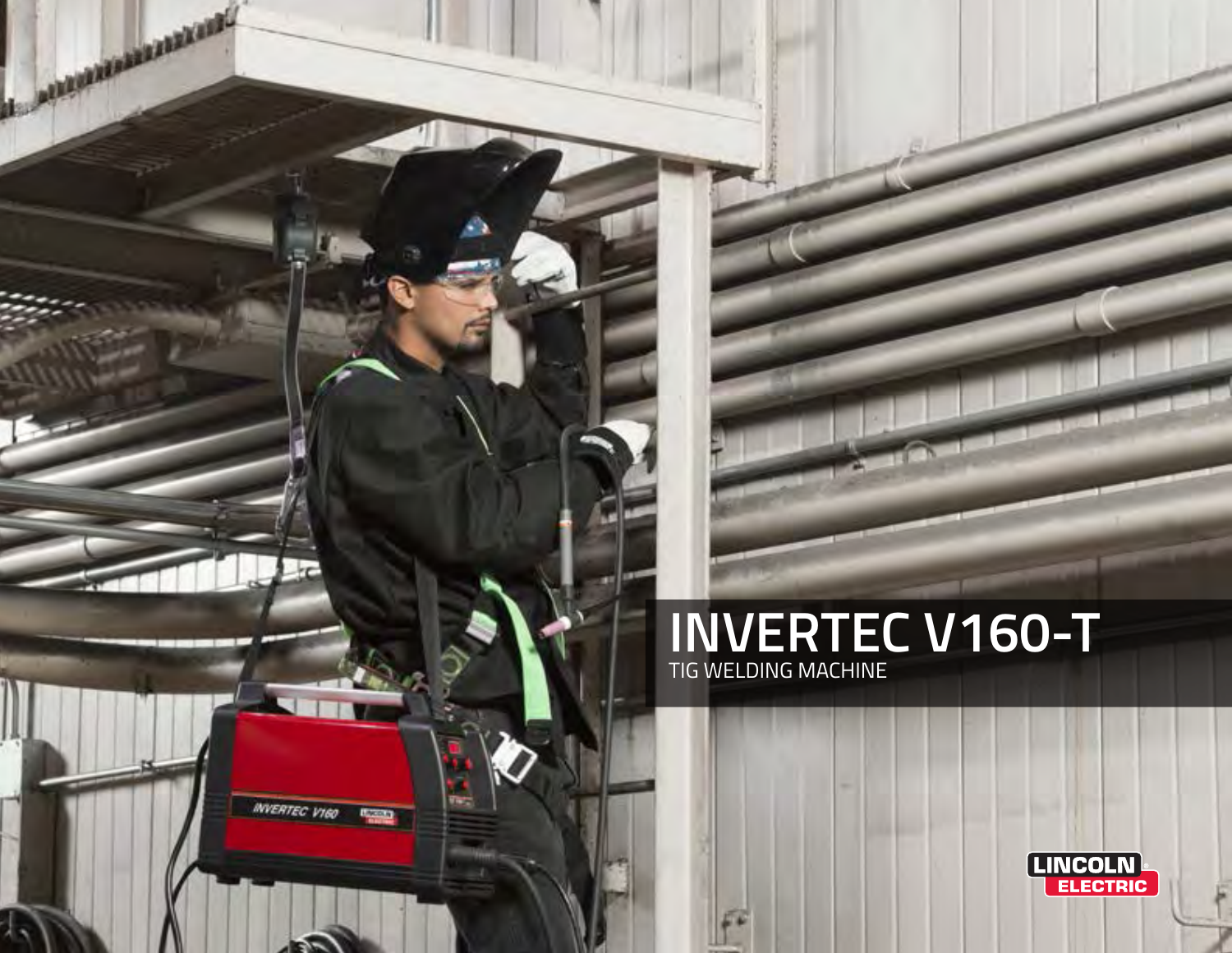### **INVERTEC V160-T** TIG WELDING MACHINE

A PERSONAL PROPERTY

**INVERTEC V160** 

**Literature** 

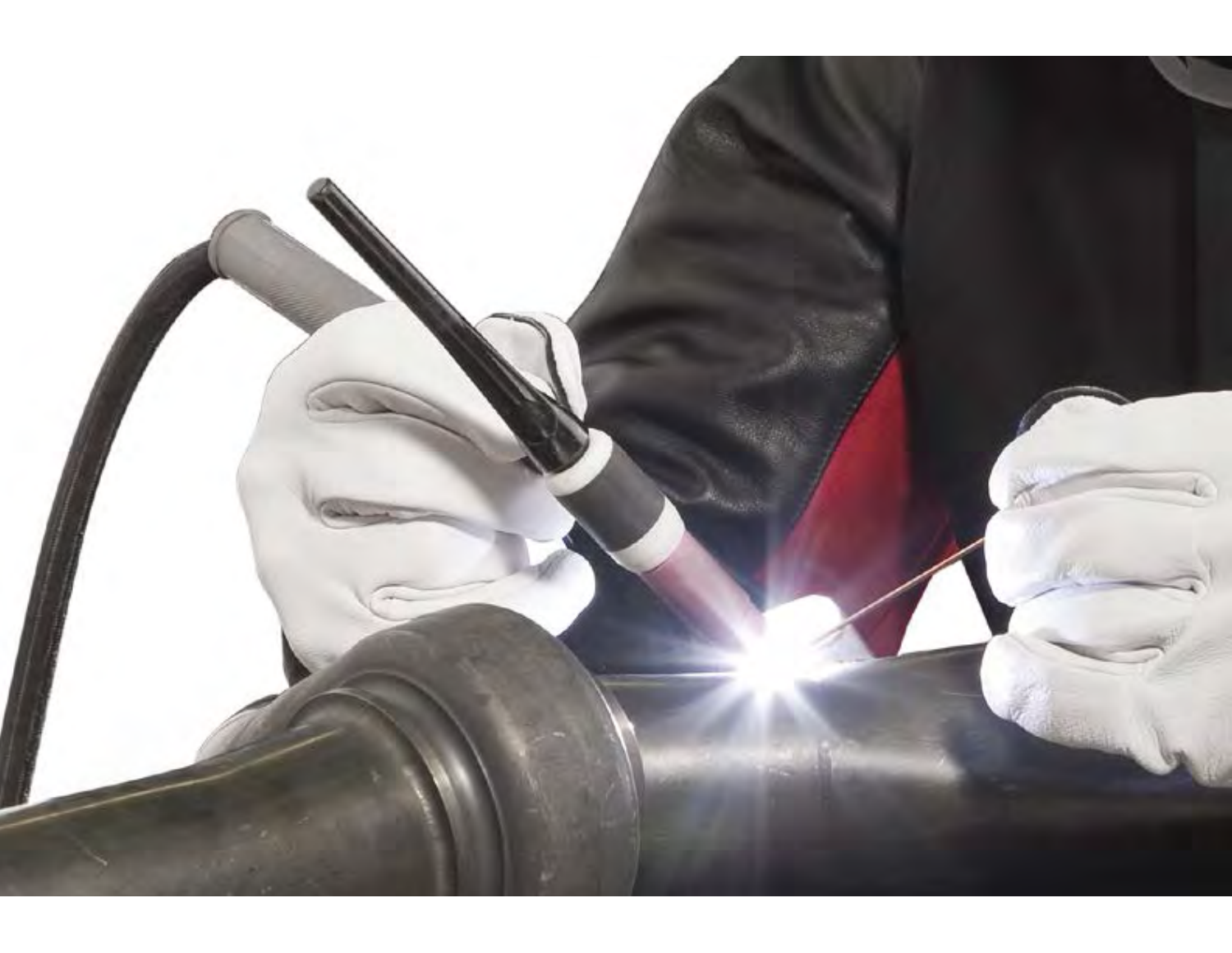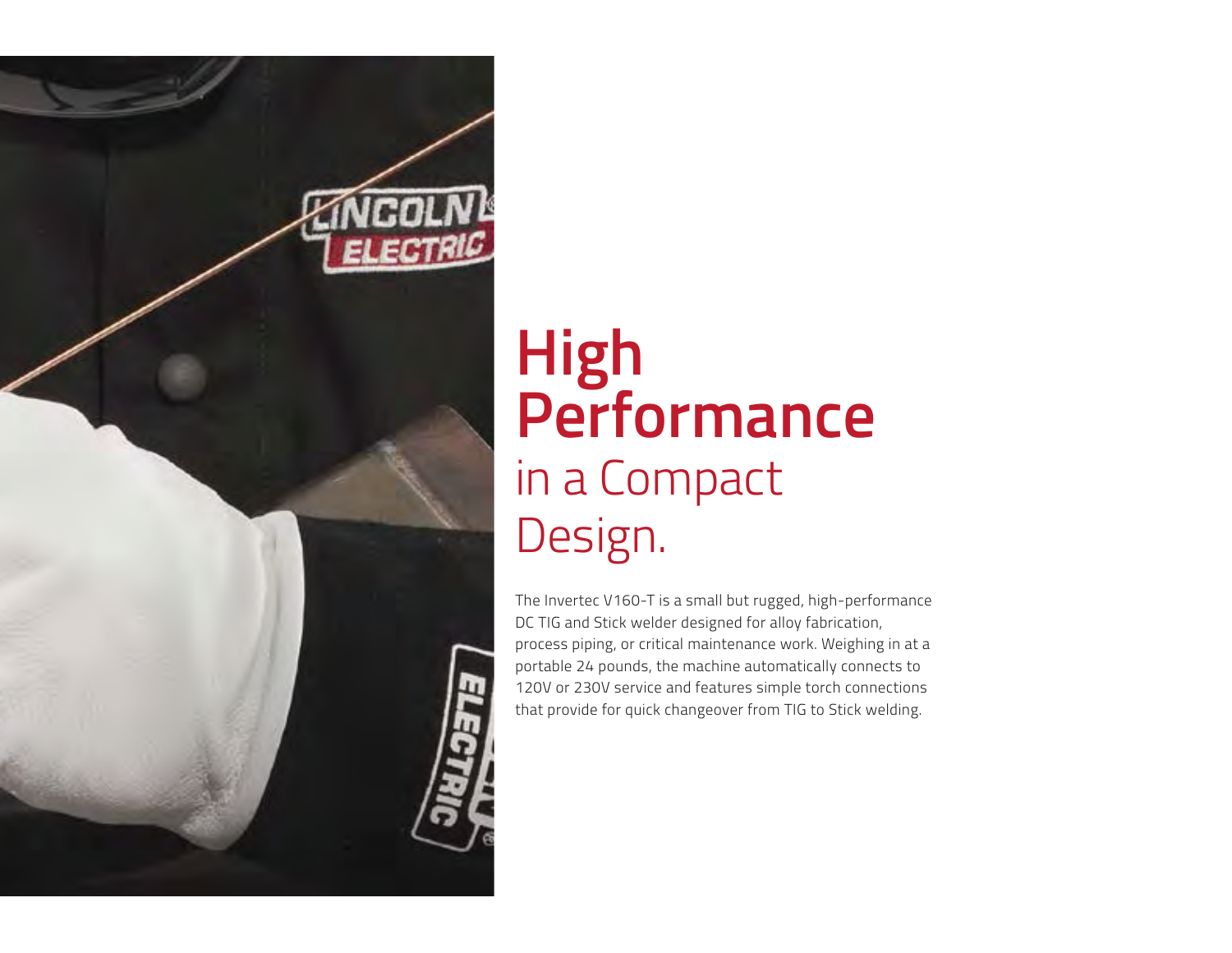

# **High Performance** in a Compact Design.

The Invertec V160-T is a small but rugged, high-performance DC TIG and Stick welder designed for alloy fabrication, process piping, or critical maintenance work. Weighing in at a portable 24 pounds, the machine automatically connects to 120V or 230V service and features simple torch connections that provide for quick changeover from TIG to Stick welding.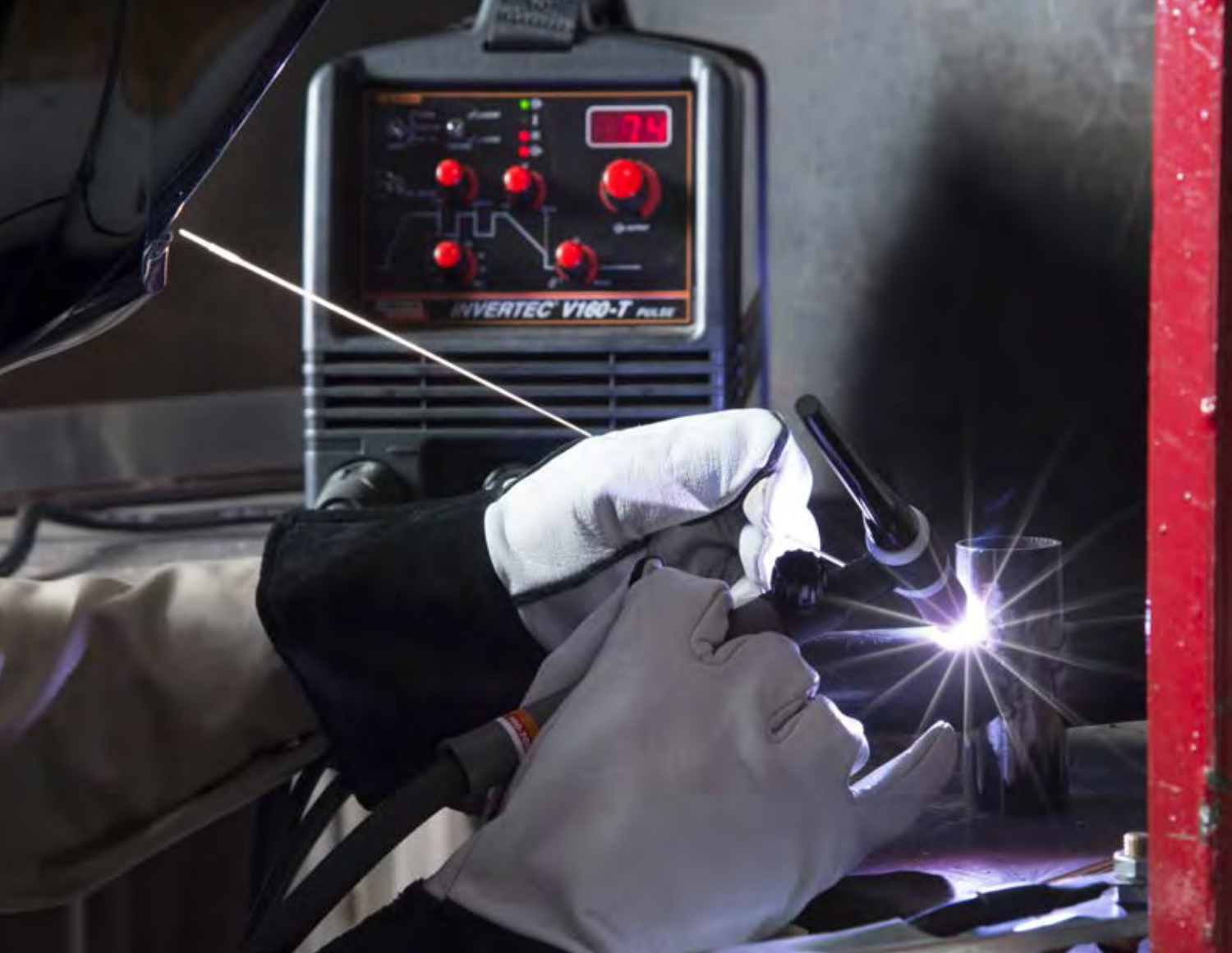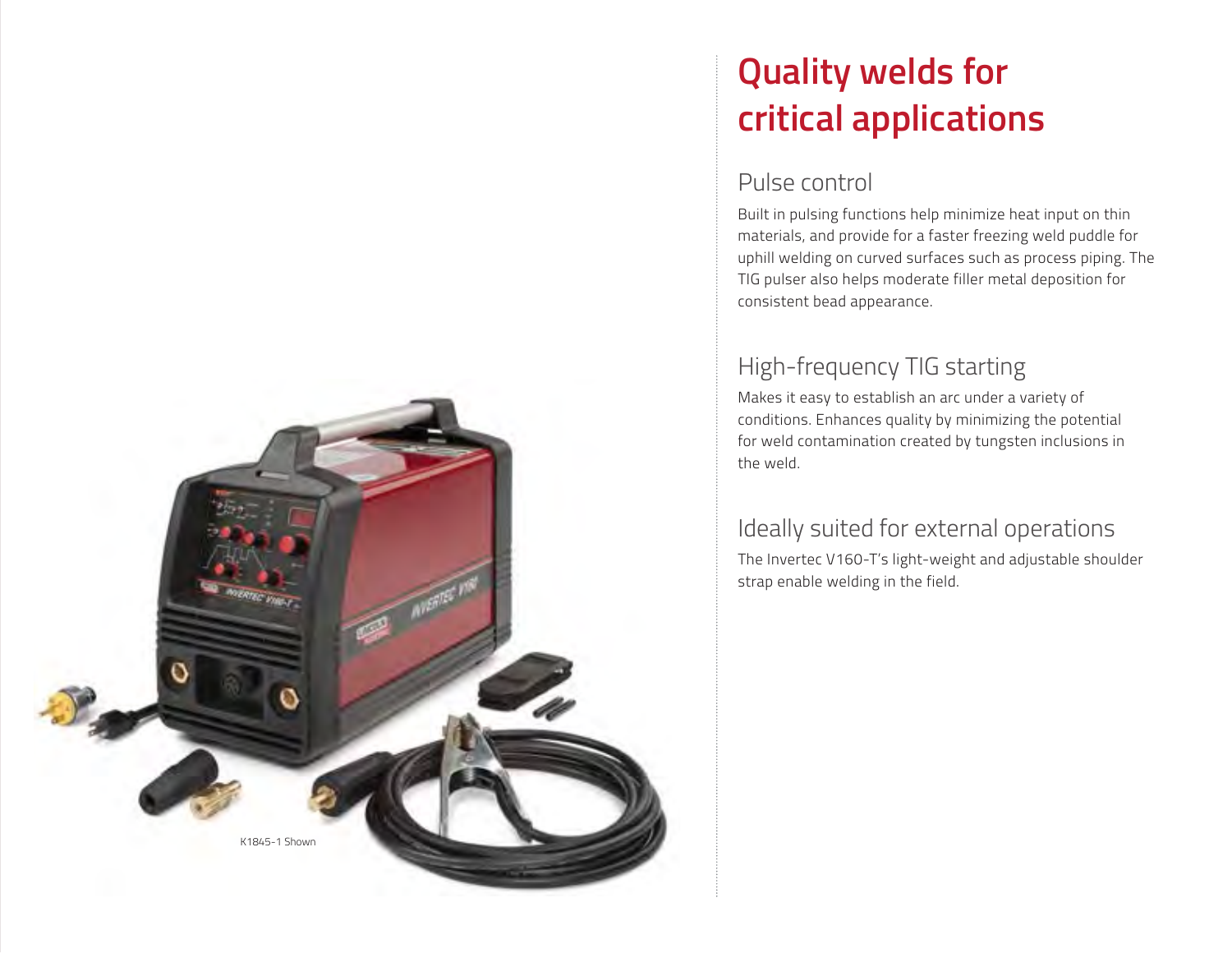

## **Quality welds for critical applications**

#### Pulse control

Built in pulsing functions help minimize heat input on thin materials, and provide for a faster freezing weld puddle for uphill welding on curved surfaces such as process piping. The TIG pulser also helps moderate filler metal deposition for consistent bead appearance.

### High-frequency TIG starting

Makes it easy to establish an arc under a variety of conditions. Enhances quality by minimizing the potential for weld contamination created by tungsten inclusions in the weld.

#### Ideally suited for external operations

The Invertec V160-T's light-weight and adjustable shoulder strap enable welding in the field.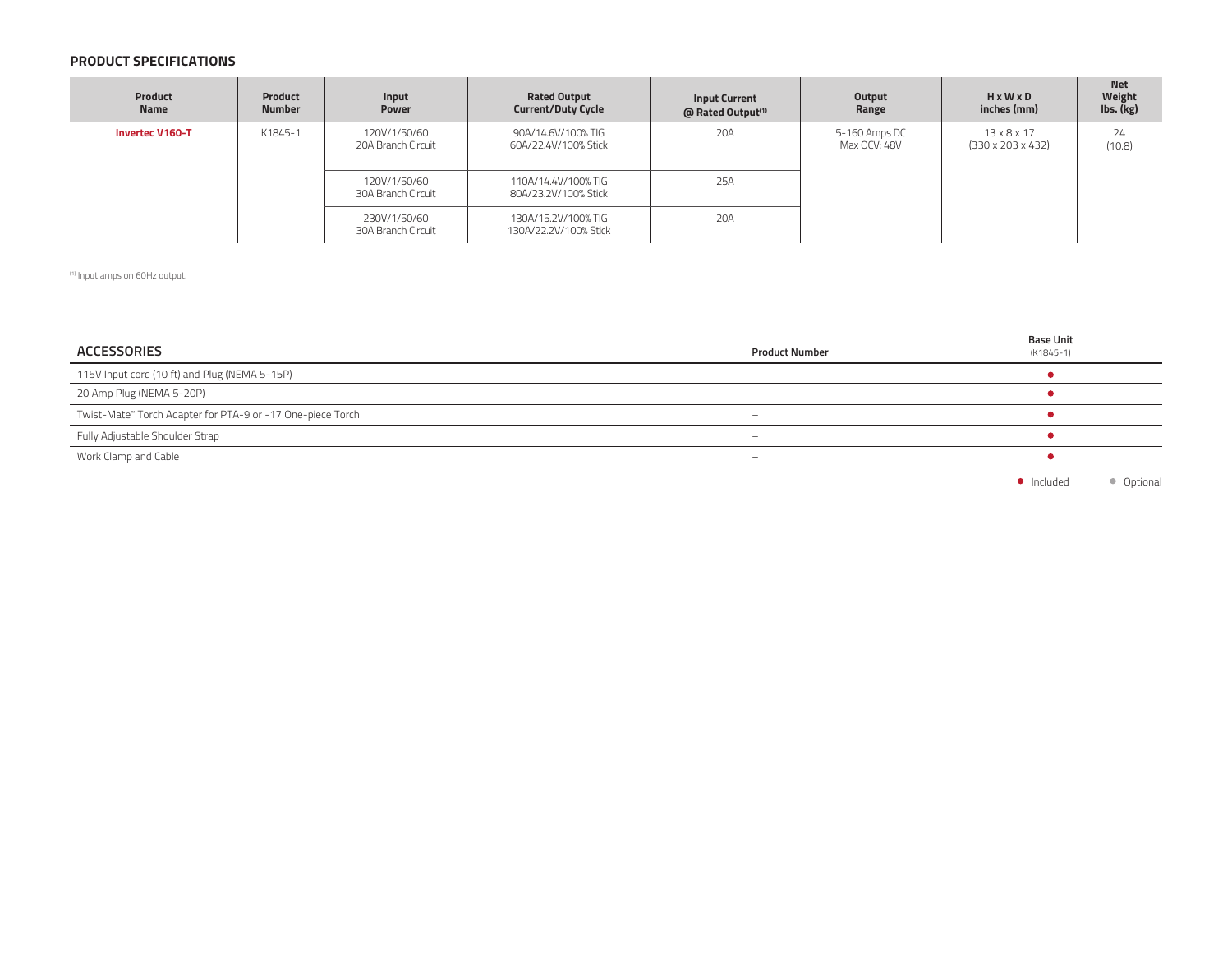#### **PRODUCT SPECIFICATIONS**

| Product<br><b>Name</b> | Product<br><b>Number</b> | Input<br><b>Power</b>              | <b>Rated Output</b><br><b>Current/Duty Cycle</b> | <b>Input Current</b><br>@ Rated Output <sup>(1)</sup> | Output<br>Range               | <b>H</b> x W x D<br>inches (mm)                          | <b>Net</b><br>Weight<br>lbs. (kg) |
|------------------------|--------------------------|------------------------------------|--------------------------------------------------|-------------------------------------------------------|-------------------------------|----------------------------------------------------------|-----------------------------------|
| <b>Invertec V160-T</b> | K1845-1                  | 120V/1/50/60<br>20A Branch Circuit | 90A/14.6V/100% TIG<br>60A/22.4V/100% Stick       | 20A                                                   | 5-160 Amps DC<br>Max OCV: 48V | $13 \times 8 \times 17$<br>$(330 \times 203 \times 432)$ | 24<br>(10.8)                      |
|                        |                          | 120V/1/50/60<br>30A Branch Circuit | 110A/14.4V/100% TIG<br>80A/23.2V/100% Stick      | 25A                                                   |                               |                                                          |                                   |
|                        |                          | 230V/1/50/60<br>30A Branch Circuit | 130A/15.2V/100% TIG<br>130A/22.2V/100% Stick     | 20A                                                   |                               |                                                          |                                   |

(1) Input amps on 60Hz output.

| <b>ACCESSORIES</b>                                         | <b>Product Number</b> | <b>Base Unit</b><br>$(K1845 - 1)$ |
|------------------------------------------------------------|-----------------------|-----------------------------------|
| 115V Input cord (10 ft) and Plug (NEMA 5-15P)              | -                     |                                   |
| 20 Amp Plug (NEMA 5-20P)                                   | -                     |                                   |
| Twist-Mate" Torch Adapter for PTA-9 or -17 One-piece Torch | -                     |                                   |
| Fully Adjustable Shoulder Strap                            | -                     |                                   |
| Work Clamp and Cable                                       | -                     |                                   |

• Included • Optional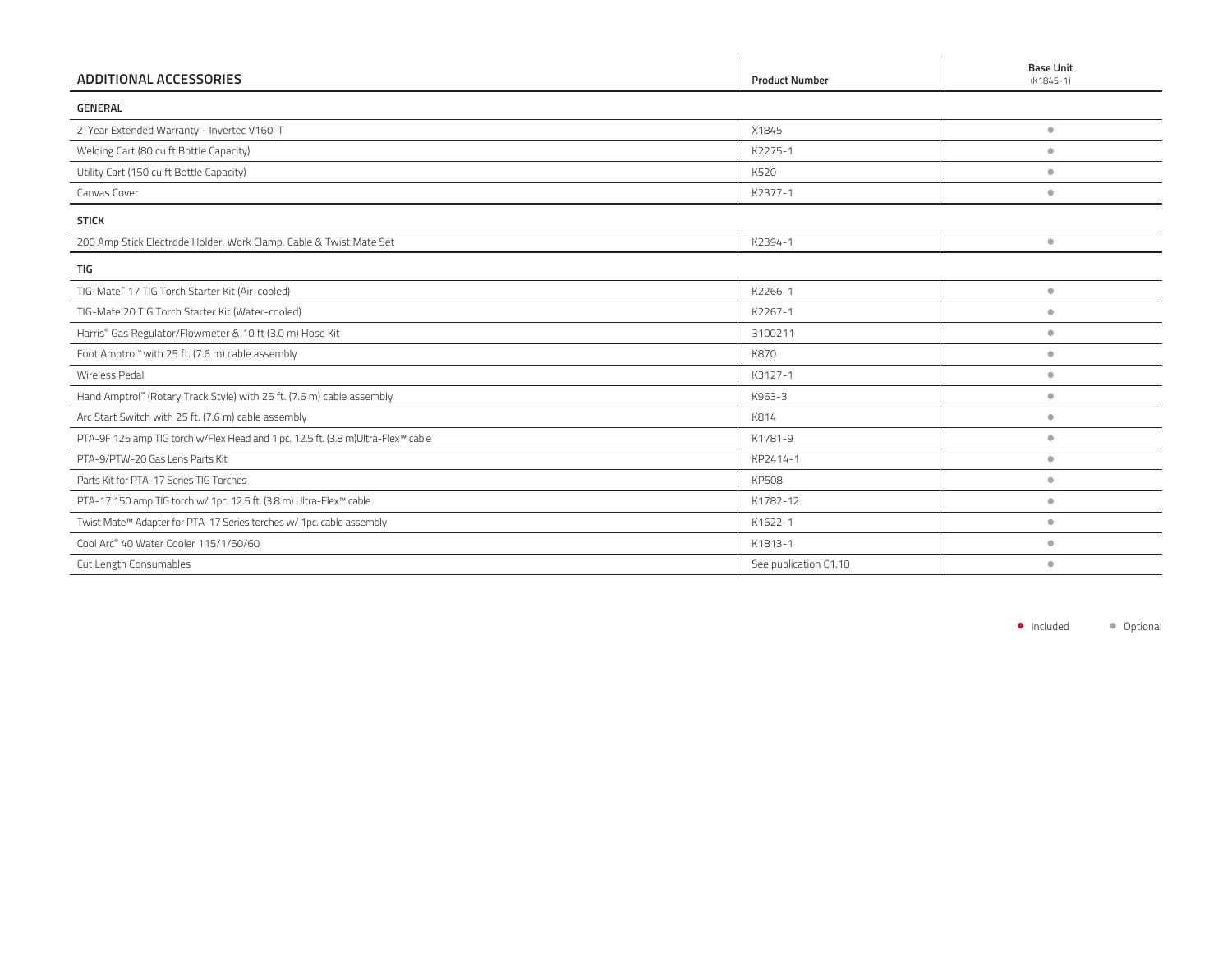| <b>ADDITIONAL ACCESSORIES</b>                                                    | <b>Product Number</b> | <b>Base Unit</b><br>$(K1845 - 1)$ |
|----------------------------------------------------------------------------------|-----------------------|-----------------------------------|
| <b>GENERAL</b>                                                                   |                       |                                   |
| 2-Year Extended Warranty - Invertec V160-T                                       | X1845                 | $\bullet$                         |
| Welding Cart (80 cu ft Bottle Capacity)                                          | K2275-1               | $\qquad \qquad \bullet$           |
| Utility Cart (150 cu ft Bottle Capacity)                                         | K520                  | $\qquad \qquad \bullet$           |
| Canvas Cover                                                                     | K2377-1               | $\qquad \qquad \bullet$           |
| <b>STICK</b>                                                                     |                       |                                   |
| 200 Amp Stick Electrode Holder, Work Clamp, Cable & Twist Mate Set               | K2394-1               | $\bullet$                         |
| TIG                                                                              |                       |                                   |
| TIG-Mate" 17 TIG Torch Starter Kit (Air-cooled)                                  | K2266-1               | $\qquad \qquad \bullet$           |
| TIG-Mate 20 TIG Torch Starter Kit (Water-cooled)                                 | K2267-1               | $\qquad \qquad \bullet$           |
| Harris® Gas Regulator/Flowmeter & 10 ft (3.0 m) Hose Kit                         | 3100211               | $\qquad \qquad \bullet$           |
| Foot Amptrol" with 25 ft. (7.6 m) cable assembly                                 | K870                  | $\qquad \qquad \bullet$           |
| Wireless Pedal                                                                   | K3127-1               | $\qquad \qquad \bullet$           |
| Hand Amptrol" (Rotary Track Style) with 25 ft. (7.6 m) cable assembly            | K963-3                | $\qquad \qquad \bullet$           |
| Arc Start Switch with 25 ft. (7.6 m) cable assembly                              | K814                  | $\qquad \qquad \bullet$           |
| PTA-9F 125 amp TIG torch w/Flex Head and 1 pc. 12.5 ft. (3.8 m)Ultra-Flex™ cable | K1781-9               | $\qquad \qquad \bullet$           |
| PTA-9/PTW-20 Gas Lens Parts Kit                                                  | KP2414-1              | $\qquad \qquad \bullet$           |
| Parts Kit for PTA-17 Series TIG Torches                                          | <b>KP508</b>          | $\qquad \qquad \bullet$           |
| PTA-17 150 amp TIG torch w/ 1pc. 12.5 ft. (3.8 m) Ultra-Flex™ cable              | K1782-12              | $\qquad \qquad \bullet$           |
| Twist Mate <sup>™</sup> Adapter for PTA-17 Series torches w/ 1pc. cable assembly | K1622-1               | $\qquad \qquad \bullet$           |
| Cool Arc® 40 Water Cooler 115/1/50/60                                            | K1813-1               | $\qquad \qquad \bullet$           |
| Cut Length Consumables                                                           | See publication C1.10 | $\bullet$                         |

• Included • Optional